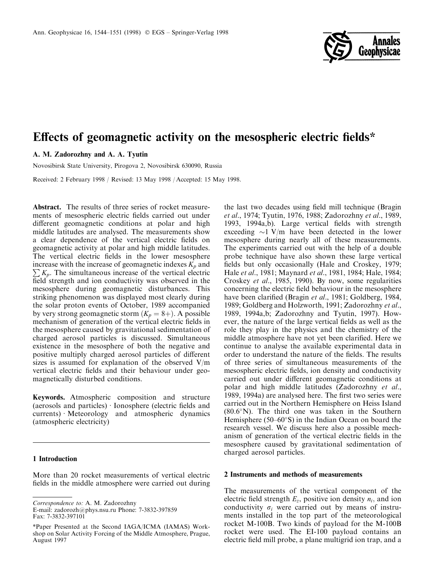

# Effects of geomagnetic activity on the mesospheric electric fields\*

# A. M. Zadorozhny and A. A. Tyutin

Novosibirsk State University, Pirogova 2, Novosibirsk 630090, Russia

Received: 2 February 1998 / Revised: 13 May 1998 / Accepted: 15 May 1998.

Abstract. The results of three series of rocket measurements of mesospheric electric fields carried out under different geomagnetic conditions at polar and high middle latitudes are analysed. The measurements show a clear dependence of the vertical electric fields on geomagnetic activity at polar and high middle latitudes. The vertical electric fields in the lower mesosphere  $\sum K_p$ . The simultaneous increase of the vertical electric increase with the increase of geomagnetic indexes  $K_p$  and field strength and ion conductivity was observed in the mesosphere during geomagnetic disturbances. This striking phenomenon was displayed most clearly during the solar proton events of October, 1989 accompanied by very strong geomagnetic storm  $(K_p = 8+)$ . A possible mechanism of generation of the vertical electric fields in the mesosphere caused by gravitational sedimentation of charged aerosol particles is discussed. Simultaneous existence in the mesosphere of both the negative and positive multiply charged aerosol particles of different sizes is assumed for explanation of the observed V/m vertical electric fields and their behaviour under geomagnetically disturbed conditions.

Keywords. Atmospheric composition and structure (aerosols and particles)  $\cdot$  Ionosphere (electric fields and  $currents)$  Meteorology and atmospheric dynamics (atmospheric electricity)

## 1 Introduction

More than 20 rocket measurements of vertical electric fields in the middle atmosphere were carried out during

E-mail: zadorozh@phys.nsu.ru Phone: 7-3832-397859 Fax: 7-3832-397101

the last two decades using field mill technique (Bragin et al., 1974; Tyutin, 1976, 1988; Zadorozhny et al., 1989, 1993, 1994a,b). Large vertical fields with strength exceeding  $\sim$ 1 V/m have been detected in the lower mesosphere during nearly all of these measurements. The experiments carried out with the help of a double probe technique have also shown these large vertical fields but only occasionally (Hale and Croskey, 1979; Hale et al., 1981; Maynard et al., 1981, 1984; Hale, 1984; Croskey et al., 1985, 1990). By now, some regularities concerning the electric field behaviour in the mesosphere have been clarified (Bragin et al., 1981; Goldberg, 1984, 1989; Goldberg and Holzworth, 1991; Zadorozhny et al., 1989, 1994a,b; Zadorozhny and Tyutin, 1997). However, the nature of the large vertical fields as well as the role they play in the physics and the chemistry of the middle atmosphere have not yet been clarified. Here we continue to analyse the available experimental data in order to understand the nature of the fields. The results of three series of simultaneous measurements of the mesospheric electric fields, ion density and conductivity carried out under different geomagnetic conditions at polar and high middle latitudes (Zadorozhny et al., 1989, 1994a) are analysed here. The first two series were carried out in the Northern Hemisphere on Heiss Island  $(80.6°N)$ . The third one was taken in the Southern Hemisphere ( $50-60^\circ$ S) in the Indian Ocean on board the research vessel. We discuss here also a possible mechanism of generation of the vertical electric fields in the mesosphere caused by gravitational sedimentation of charged aerosol particles.

## 2 Instruments and methods of measurements

The measurements of the vertical component of the electric field strength  $E_z$ , positive ion density  $n_i$ , and ion conductivity  $\sigma_i$  were carried out by means of instruments installed in the top part of the meteorological rocket M-100B. Two kinds of payload for the M-100B rocket were used. The EI-100 payload contains an electric field mill probe, a plane multigrid ion trap, and a

Correspondence to: A. M. Zadorozhny

<sup>\*</sup>Paper Presented at the Second IAGA/ICMA (IAMAS) Workshop on Solar Activity Forcing of the Middle Atmosphere, Prague, August 1997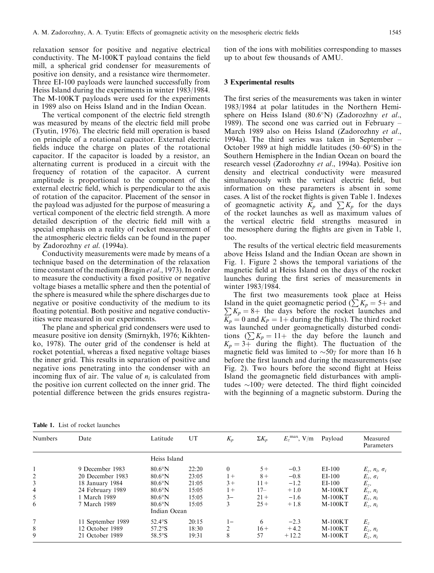relaxation sensor for positive and negative electrical conductivity. The M-100KT payload contains the field mill, a spherical grid condenser for measurements of positive ion density, and a resistance wire thermometer. Three EI-100 payloads were launched successfully from Heiss Island during the experiments in winter 1983/1984. The M-100KT payloads were used for the experiments in 1989 also on Heiss Island and in the Indian Ocean.

The vertical component of the electric field strength was measured by means of the electric field mill probe (Tyutin, 1976). The electric field mill operation is based on principle of a rotational capacitor. External electric fields induce the charge on plates of the rotational capacitor. If the capacitor is loaded by a resistor, an alternating current is produced in a circuit with the frequency of rotation of the capacitor. A current amplitude is proportional to the component of the external electric field, which is perpendicular to the axis of rotation of the capacitor. Placement of the sensor in the payload was adjusted for the purpose of measuring a vertical component of the electric field strength. A more detailed description of the electric field mill with a special emphasis on a reality of rocket measurement of the atmospheric electric fields can be found in the paper by Zadorozhny et al. (1994a).

Conductivity measurements were made by means of a technique based on the determination of the relaxation time constant of the medium (Bragin et al., 1973). In order to measure the conductivity a fixed positive or negative voltage biases a metallic sphere and then the potential of the sphere is measured while the sphere discharges due to negative or positive conductivity of the medium to its floating potential. Both positive and negative conductivities were measured in our experiments.

The plane and spherical grid condensers were used to measure positive ion density (Smirnykh, 1976; Kikhtenko, 1978). The outer grid of the condenser is held at rocket potential, whereas a fixed negative voltage biases the inner grid. This results in separation of positive and negative ions penetrating into the condenser with an incoming flux of air. The value of  $n_i$  is calculated from the positive ion current collected on the inner grid. The potential difference between the grids ensures registration of the ions with mobilities corresponding to masses up to about few thousands of AMU.

# 3 Experimental results

The first series of the measurements was taken in winter 1983/1984 at polar latitudes in the Northern Hemisphere on Heiss Island  $(80.6°N)$  (Zadorozhny et al., 1989). The second one was carried out in February  $-$ March 1989 also on Heiss Island (Zadorozhny et al., 1994a). The third series was taken in September  $-\frac{1}{9}$ October 1989 at high middle latitudes  $(50-60°S)$  in the Southern Hemisphere in the Indian Ocean on board the research vessel (Zadorozhny et al., 1994a). Positive ion density and electrical conductivity were measured simultaneously with the vertical electric field, but information on these parameters is absent in some cases. A list of the rocket flights is given Table 1. Indexes of geomagnetic activity  $K_p$  and  $\sum K_p$  for the days of the rocket launches as well as maximum values of the vertical electric field strengths measured in the mesosphere during the flights are given in Table 1, too.

The results of the vertical electric field measurements above Heiss Island and the Indian Ocean are shown in Fig. 1. Figure 2 shows the temporal variations of the magnetic field at Heiss Island on the days of the rocket launches during the first series of measurements in winter 1983/1984.

The first two measurements took place at Heiss Island in the quiet geomagnetic period  $(\sum K_p = 5 +$  and  $\sum K_p = 8 +$  the days before the rocket launches and  $\overline{K_p} = 0$  and  $K_p = 1 +$  during the flights). The third rocket was launched under geomagnetically disturbed conditions  $(\sum K_p = 11 + \text{ the day before the launch and})$  $K_p = 3+$  during the flight). The fluctuation of the magnetic field was limited to  $\sim 50\gamma$  for more than 16 h before the first launch and during the measurements (see Fig. 2). Two hours before the second flight at Heiss Island the geomagnetic field disturbances with amplitudes  $\sim 100\gamma$  were detected. The third flight coincided with the beginning of a magnetic substorm. During the

| <b>Table 1.</b> List of rocket launches |  |
|-----------------------------------------|--|
|-----------------------------------------|--|

| Numbers | Date              | Latitude       | UT    | $K_p$          | $\Sigma K_p$ | $E_z^{\,\rm max},\, {\rm V/m}$ | Payload   | Measured<br>Parameters     |
|---------|-------------------|----------------|-------|----------------|--------------|--------------------------------|-----------|----------------------------|
|         |                   | Heiss Island   |       |                |              |                                |           |                            |
|         | 9 December 1983   | $80.6^\circ$ N | 22:20 | $\theta$       | $5+$         | $-0.3$                         | $E-I-100$ | $E_z$ , $n_i$ , $\sigma_i$ |
|         | 20 December 1983  | $80.6^\circ$ N | 23:05 | $1+$           | $8+$         | $-0.8$                         | $E-I-100$ | $E_z$ , $\sigma_i$         |
| 3       | 18 January 1984   | $80.6^\circ$ N | 21:05 | $3+$           | $11 +$       | $-1.2$                         | $E-I-100$ | $E_z$ ,                    |
| 4       | 24 February 1989  | $80.6^\circ$ N | 15:05 | $1+$           | $17-$        | $+1.0$                         | $M-100KT$ | $E_z$ , $n_i$              |
| 5       | 1 March 1989      | $80.6^\circ$ N | 15:05 | $3-$           | $21 +$       | $-1.6$                         | $M-100KT$ | $E_z$ , $n_i$              |
| 6       | 7 March 1989      | $80.6^\circ$ N | 15:05 | 3              | $25 +$       | $+1.8$                         | $M-100KT$ | $E_z$ , $n_i$              |
|         |                   | Indian Ocean   |       |                |              |                                |           |                            |
| 7       | 11 September 1989 | $52.4^\circ$ S | 20:15 | $1 -$          | 6            | $-2.3$                         | $M-100KT$ | $E_z$                      |
| 8       | 12 October 1989   | $57.2^\circ$ S | 18:30 | $\mathfrak{D}$ | $16+$        | $+4.2$                         | $M-100KT$ | $E_z$ , $n_i$              |
| 9       | 21 October 1989   | $58.5^\circ$ S | 19:31 | 8              | 57           | $+12.2$                        | $M-100KT$ | $E_z$ , $n_i$              |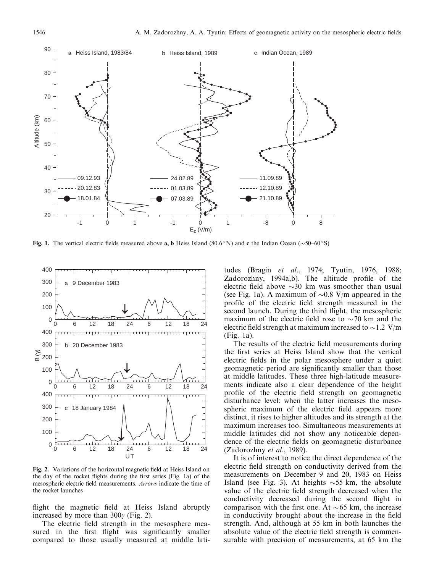

Fig. 1. The vertical electric fields measured above a, b Heiss Island (80.6 °N) and c the Indian Ocean ( $\sim$ 50 $-60$  °S)



Fig. 2. Variations of the horizontal magnetic field at Heiss Island on the day of the rocket flights during the first series (Fig. 1a) of the mesospheric electric field measurements. Arrows indicate the time of the rocket launches

flight the magnetic field at Heiss Island abruptly increased by more than  $300\gamma$  (Fig. 2).

The electric field strength in the mesosphere measured in the first flight was significantly smaller compared to those usually measured at middle lati-

tudes (Bragin et al., 1974; Tyutin, 1976, 1988; Zadorozhny, 1994a,b). The altitude profile of the electric field above  $\sim$ 30 km was smoother than usual (see Fig. 1a). A maximum of  $\sim 0.8$  V/m appeared in the profile of the electric field strength measured in the second launch. During the third flight, the mesospheric maximum of the electric field rose to  $\sim$  70 km and the electric field strength at maximum increased to  $\sim$ 1.2 V/m (Fig. 1a).

The results of the electric field measurements during the first series at Heiss Island show that the vertical electric fields in the polar mesosphere under a quiet geomagnetic period are significantly smaller than those at middle latitudes. These three high-latitude measurements indicate also a clear dependence of the height profile of the electric field strength on geomagnetic disturbance level: when the latter increases the mesospheric maximum of the electric field appears more distinct, it rises to higher altitudes and its strength at the maximum increases too. Simultaneous measurements at middle latitudes did not show any noticeable dependence of the electric fields on geomagnetic disturbance (Zadorozhny et al., 1989).

It is of interest to notice the direct dependence of the electric field strength on conductivity derived from the measurements on December 9 and 20, 1983 on Heiss Island (see Fig. 3). At heights  $\sim$  55 km, the absolute value of the electric field strength decreased when the conductivity decreased during the second flight in comparison with the first one. At  $\sim 65$  km, the increase in conductivity brought about the increase in the field strength. And, although at 55 km in both launches the absolute value of the electric field strength is commensurable with precision of measurements, at 65 km the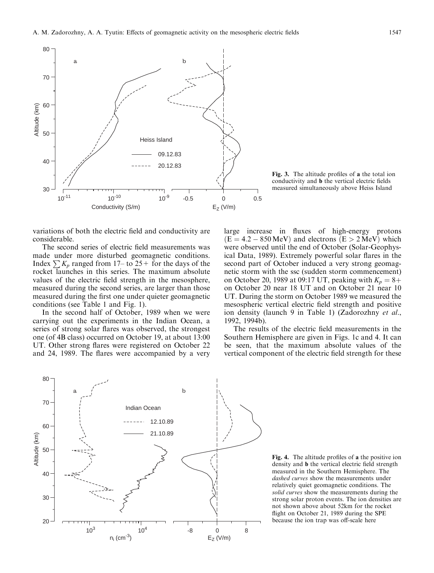

Fig. 3. The altitude profiles of a the total ion conductivity and **b** the vertical electric fields measured simultaneously above Heiss Island

variations of both the electric field and conductivity are considerable.

The second series of electric field measurements was made under more disturbed geomagnetic conditions. Index  $\sum K_p$  ranged from 17– to 25+ for the days of the rocket launches in this series. The maximum absolute values of the electric field strength in the mesosphere, measured during the second series, are larger than those measured during the first one under quieter geomagnetic conditions (see Table 1 and Fig. 1).

In the second half of October, 1989 when we were carrying out the experiments in the Indian Ocean, a series of strong solar flares was observed, the strongest one (of 4B class) occurred on October 19, at about 13:00 UT. Other strong flares were registered on October 22 and 24, 1989. The flares were accompanied by a very large increase in fluxes of high-energy protons  $(E = 4.2 - 850 \text{ MeV})$  and electrons  $(E > 2 \text{ MeV})$  which were observed until the end of October (Solar-Geophysical Data, 1989). Extremely powerful solar flares in the second part of October induced a very strong geomagnetic storm with the ssc (sudden storm commencement) on October 20, 1989 at 09:17 UT, peaking with  $K_p = 8+$ on October 20 near 18 UT and on October 21 near 10 UT. During the storm on October 1989 we measured the mesospheric vertical electric field strength and positive ion density (launch 9 in Table 1) (Zadorozhny et al., 1992, 1994b).

The results of the electric field measurements in the Southern Hemisphere are given in Figs. 1c and 4. It can be seen, that the maximum absolute values of the vertical component of the electric field strength for these



Fig. 4. The altitude profiles of a the positive ion density and **b** the vertical electric field strength measured in the Southern Hemisphere. The dashed curves show the measurements under relatively quiet geomagnetic conditions. The solid curves show the measurements during the strong solar proton events. The ion densities are not shown above about 52km for the rocket flight on October 21, 1989 during the SPE because the ion trap was off-scale here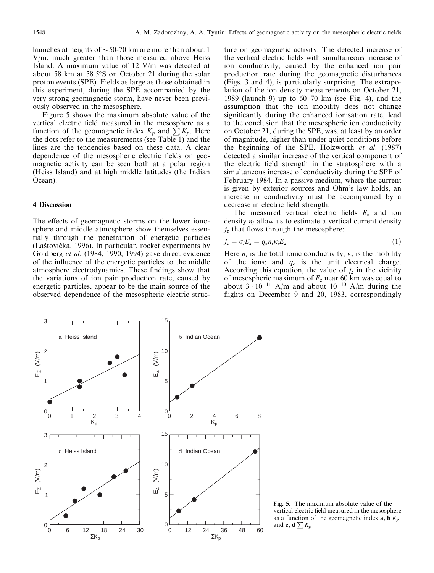launches at heights of  $\sim$  50-70 km are more than about 1 V/m, much greater than those measured above Heiss Island. A maximum value of 12 V/m was detected at about 58 km at  $58.5^{\circ}$ S on October 21 during the solar proton events (SPE). Fields as large as those obtained in this experiment, during the SPE accompanied by the very strong geomagnetic storm, have never been previously observed in the mesosphere.

Figure 5 shows the maximum absolute value of the vertical electric field measured in the mesosphere as a function of the geomagnetic index  $K_p$  and  $\sum K_p$ . Here the dots refer to the measurements (see Table 1) and the lines are the tendencies based on these data. A clear dependence of the mesospheric electric fields on geomagnetic activity can be seen both at a polar region (Heiss Island) and at high middle latitudes (the Indian Ocean).

### 4 Discussion

The effects of geomagnetic storms on the lower ionosphere and middle atmosphere show themselves essentially through the penetration of energetic particles (Laštovička, 1996). In particular, rocket experiments by Goldberg et al. (1984, 1990, 1994) gave direct evidence of the influence of the energetic particles to the middle atmosphere electrodynamics. These findings show that the variations of ion pair production rate, caused by energetic particles, appear to be the main source of the observed dependence of the mesospheric electric structure on geomagnetic activity. The detected increase of the vertical electric fields with simultaneous increase of ion conductivity, caused by the enhanced ion pair production rate during the geomagnetic disturbances (Figs. 3 and 4), is particularly surprising. The extrapolation of the ion density measurements on October 21, 1989 (launch 9) up to  $60-70$  km (see Fig. 4), and the assumption that the ion mobility does not change significantly during the enhanced ionisation rate, lead to the conclusion that the mesospheric ion conductivity on October 21, during the SPE, was, at least by an order of magnitude, higher than under quiet conditions before the beginning of the SPE. Holzworth et al. (1987) detected a similar increase of the vertical component of the electric field strength in the stratosphere with a simultaneous increase of conductivity during the SPE of February 1984. In a passive medium, where the current is given by exterior sources and Ohm's law holds, an increase in conductivity must be accompanied by a decrease in electric field strength.

The measured vertical electric fields  $E<sub>z</sub>$  and ion density  $n_i$  allow us to estimate a vertical current density  $j_z$  that flows through the mesosphere:

$$
j_z = \sigma_i E_z = q_e n_i \kappa_i E_z \tag{1}
$$

Here  $\sigma_i$  is the total ionic conductivity;  $\kappa_i$  is the mobility of the ions; and  $q_e$  is the unit electrical charge. According this equation, the value of  $j_z$  in the vicinity of mesospheric maximum of  $E_z$  near 60 km was equal to about  $3 \cdot 10^{-11}$  A/m and about  $10^{-10}$  A/m during the flights on December 9 and 20, 1983, correspondingly



Fig. 5. The maximum absolute value of the vertical electric field measured in the mesosphere as a function of the geomagnetic index  $a, b K_p$ and **c**, **d**  $\sum K_p$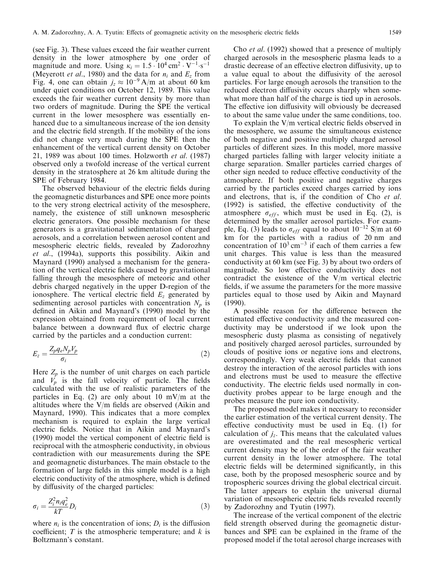(see Fig. 3). These values exceed the fair weather current density in the lower atmosphere by one order of magnitude and more. Using  $\kappa_i = 1.5 \cdot 10^4 \text{ cm}^2 \cdot \text{V}^{-1} \text{ s}^{-1}$ (Meyerott *et al.*, 1980) and the data for  $n_i$  and  $E_z$  from Fig. 4, one can obtain  $j_z \approx 10^{-9}$  A/m at about 60 km under quiet conditions on October 12, 1989. This value exceeds the fair weather current density by more than two orders of magnitude. During the SPE the vertical current in the lower mesosphere was essentially enhanced due to a simultaneous increase of the ion density and the electric field strength. If the mobility of the ions did not change very much during the SPE then the enhancement of the vertical current density on October 21, 1989 was about 100 times. Holzworth et al. (1987) observed only a twofold increase of the vertical current density in the stratosphere at 26 km altitude during the SPE of February 1984.

The observed behaviour of the electric fields during the geomagnetic disturbances and SPE once more points to the very strong electrical activity of the mesosphere, namely, the existence of still unknown mesospheric electric generators. One possible mechanism for these generators is a gravitational sedimentation of charged aerosols, and a correlation between aerosol content and mesospheric electric fields, revealed by Zadorozhny et al., (1994a), supports this possibility. Aikin and Maynard (1990) analysed a mechanism for the generation of the vertical electric fields caused by gravitational falling through the mesosphere of meteoric and other debris charged negatively in the upper D-region of the ionosphere. The vertical electric field  $E<sub>z</sub>$  generated by sedimenting aerosol particles with concentration  $N_p$  is defined in Aikin and Maynard's (1990) model by the expression obtained from requirement of local current balance between a downward flux of electric charge carried by the particles and a conduction current:

$$
E_z = \frac{Z_p q_e N_p V_p}{\sigma_i} \tag{2}
$$

Here  $Z_p$  is the number of unit charges on each particle and  $V_p$  is the fall velocity of particle. The fields calculated with the use of realistic parameters of the particles in Eq. (2) are only about 10 mV/m at the altitudes where the  $V/m$  fields are observed (Aikin and Maynard, 1990). This indicates that a more complex mechanism is required to explain the large vertical electric fields. Notice that in Aikin and Maynard's  $(1990)$  model the vertical component of electric field is reciprocal with the atmospheric conductivity, in obvious contradiction with our measurements during the SPE and geomagnetic disturbances. The main obstacle to the formation of large fields in this simple model is a high electric conductivity of the atmosphere, which is defined by diffusivity of the charged particles:

$$
\sigma_i = \frac{Z_i^2 n_i q_e^2}{kT} D_i \tag{3}
$$

where  $n_i$  is the concentration of ions;  $D_i$  is the diffusion coefficient;  $T$  is the atmospheric temperature; and  $k$  is Boltzmann's constant.

Cho et al. (1992) showed that a presence of multiply charged aerosols in the mesospheric plasma leads to a drastic decrease of an effective electron diffusivity, up to a value equal to about the diffusivity of the aerosol particles. For large enough aerosols the transition to the reduced electron diffusivity occurs sharply when somewhat more than half of the charge is tied up in aerosols. The effective ion diffusivity will obviously be decreased to about the same value under the same conditions, too.

To explain the  $V/m$  vertical electric fields observed in the mesosphere, we assume the simultaneous existence of both negative and positive multiply charged aerosol particles of different sizes. In this model, more massive charged particles falling with larger velocity initiate a charge separation. Smaller particles carried charges of other sign needed to reduce effective conductivity of the atmosphere. If both positive and negative charges carried by the particles exceed charges carried by ions and electrons, that is, if the condition of Cho et al.  $(1992)$  is satisfied, the effective conductivity of the atmosphere  $\sigma_{eff}$ , which must be used in Eq. (2), is determined by the smaller aerosol particles. For example, Eq. (3) leads to  $\sigma_{eff}$  equal to about  $10^{-12}$  S/m at 60 km for the particles with a radius of 20 nm and concentration of  $10^3$  cm<sup>-3</sup> if each of them carries a few unit charges. This value is less than the measured conductivity at 60 km (see Fig. 3) by about two orders of magnitude. So low effective conductivity does not contradict the existence of the V/m vertical electric fields, if we assume the parameters for the more massive particles equal to those used by Aikin and Maynard (1990).

A possible reason for the difference between the estimated effective conductivity and the measured conductivity may be understood if we look upon the mesospheric dusty plasma as consisting of negatively and positively charged aerosol particles, surrounded by clouds of positive ions or negative ions and electrons, correspondingly. Very weak electric fields that cannot destroy the interaction of the aerosol particles with ions and electrons must be used to measure the effective conductivity. The electric fields used normally in conductivity probes appear to be large enough and the probes measure the pure ion conductivity.

The proposed model makes it necessary to reconsider the earlier estimation of the vertical current density. The effective conductivity must be used in Eq.  $(1)$  for calculation of  $j_z$ . This means that the calculated values are overestimated and the real mesospheric vertical current density may be of the order of the fair weather current density in the lower atmosphere. The total electric fields will be determined significantly, in this case, both by the proposed mesospheric source and by tropospheric sources driving the global electrical circuit. The latter appears to explain the universal diurnal variation of mesospheric electric fields revealed recently by Zadorozhny and Tyutin (1997).

The increase of the vertical component of the electric field strength observed during the geomagnetic disturbances and SPE can be explained in the frame of the proposed model if the total aerosol charge increases with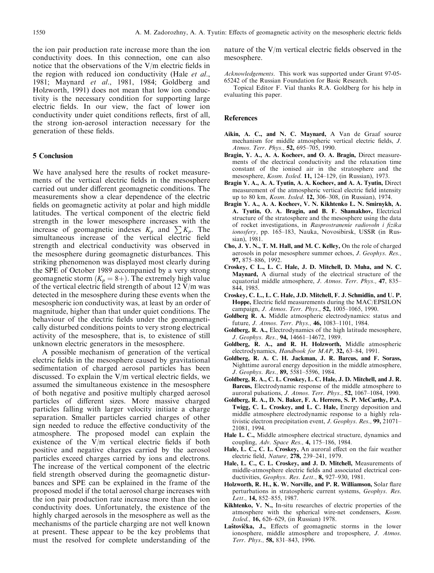the ion pair production rate increase more than the ion conductivity does. In this connection, one can also notice that the observations of the  $V/m$  electric fields in the region with reduced ion conductivity (Hale *et al.*, 1981; Maynard et al., 1981, 1984; Goldberg and Holzworth, 1991) does not mean that low ion conductivity is the necessary condition for supporting large electric fields. In our view, the fact of lower ion conductivity under quiet conditions reflects, first of all, the strong ion-aerosol interaction necessary for the generation of these fields.

#### 5 Conclusion

We have analysed here the results of rocket measurements of the vertical electric fields in the mesosphere carried out under different geomagnetic conditions. The measurements show a clear dependence of the electric fields on geomagnetic activity at polar and high middle latitudes. The vertical component of the electric field strength in the lower mesosphere increases with the increase of geomagnetic indexes  $K_p$  and  $\sum K_p$ . The simultaneous increase of the vertical electric field strength and electrical conductivity was observed in the mesosphere during geomagnetic disturbances. This striking phenomenon was displayed most clearly during the SPE of October 1989 accompanied by a very strong geomagnetic storm  $(K_p = 8+)$ . The extremely high value of the vertical electric field strength of about  $12$  V/m was detected in the mesosphere during these events when the mesospheric ion conductivity was, at least by an order of magnitude, higher than that under quiet conditions. The behaviour of the electric fields under the geomagnetically disturbed conditions points to very strong electrical activity of the mesosphere, that is, to existence of still unknown electric generators in the mesosphere.

A possible mechanism of generation of the vertical electric fields in the mesosphere caused by gravitational sedimentation of charged aerosol particles has been discussed. To explain the  $V/m$  vertical electric fields, we assumed the simultaneous existence in the mesosphere of both negative and positive multiply charged aerosol particles of different sizes. More massive charged particles falling with larger velocity initiate a charge separation. Smaller particles carried charges of other sign needed to reduce the effective conductivity of the atmosphere. The proposed model can explain the existence of the  $V/m$  vertical electric fields if both positive and negative charges carried by the aerosol particles exceed charges carried by ions and electrons. The increase of the vertical component of the electric field strength observed during the geomagnetic disturbances and SPE can be explained in the frame of the proposed model if the total aerosol charge increases with the ion pair production rate increase more than the ion conductivity does. Unfortunately, the existence of the highly charged aerosols in the mesosphere as well as the mechanisms of the particle charging are not well known at present. These appear to be the key problems that must the resolved for complete understanding of the

nature of the  $V/m$  vertical electric fields observed in the mesosphere.

Acknowledgements. This work was supported under Grant 97-05- 65242 of the Russian Foundation for Basic Research.

Topical Editor F. Vial thanks R.A. Goldberg for his help in evaluating this paper.

#### References

- Aikin, A. C., and N. C. Maynard, A Van de Graaf source mechanism for middle atmospheric vertical electric fields, J. Atmos. Terr. Phys., 52, 695-705, 1990.
- Bragin, Y. A., A. A. Kocheev, and O. A. Bragin, Direct measurements of the electrical conductivity and the relaxation time constant of the ionised air in the stratosphere and the mesosphere, Kosm. Issled. 11, 124-129, (in Russian), 1973.
- Bragin Y. A., A. A. Tyutin, A. A. Kocheev, and A. A. Tyutin, Direct measurement of the atmospheric vertical electric field intensity up to 80 km, Kosm. Issled. 12, 306-308, (in Russian), 1974.
- Bragin Y. A., A. A. Kocheev, V. N. Kikhtenko L. N. Smirnykh, A. A. Tyutin, O. A. Bragin, and B. F. Shamakhov, Electrical structure of the stratosphere and the mesosphere using the data of rocket investigations, in Rasprostranenie radiovoln i fizika ionosfery, pp. 165-183, Nauka, Novosibirsk, USSR (in Russian), 1981.
- Cho, J. Y. N., T. M. Hall, and M. C. Kelley, On the role of charged aerosols in polar mesosphere summer echoes, J. Geophys. Res., 97, 875-886, 1992.
- Croskey, C L., L. C. Hale, J. D. Mitchell, D. Muha, and N. C. Maynard, A diurnal study of the electrical structure of the equatorial middle atmosphere, J. Atmos. Terr. Phys., 47, 835-844, 1985.
- Croskey, C. L., L. C. Hale, J.D. Mitchell, F. J. Schmidlin, and U. P. Hoppe, Electric field measurements during the MAC/EPSILON campaign, *J. Atmos. Terr. Phys.*, 52, 1005-1065, 1990.
- Goldberg R. A. Middle atmospheric electrodynamics: status and future, *J. Atmos. Terr. Phys.*, **46,** 1083-1101, 1984.
- Goldberg, R. A., Electrodynamics of the high latitude mesosphere, J. Geophys. Res., 94, 14661-14672, 1989.
- Goldberg, R. A., and R. H. Holzworth, Middle atmospheric electrodynamics, Handbook for MAP, 32, 63-84, 1991.
- Goldberg, R. A. C. H. Jackman, J. R. Barcus, and F. Sorass, Nighttime auroral energy deposition in the middle atmosphere, J. Geophys. Res., 89, 5581-5596, 1984.
- Goldberg, R. A., C. L. Croskey, L. C. Hale, J. D. Mitchell, and J. R. Barcus, Electrodynamic response of the middle atmosphere to auroral pulsations, *J. Atmos. Terr. Phys.*, **52,** 1067-1084, 1990.
- Goldberg, R. A., D. N. Baker, F. A. Herrero, S. P. McCarthy, P.A. Twigg, C. L. Croskey, and L. C. Hale, Energy deposition and middle atmosphere electrodynamic response to a highly relativistic electron precipitation event, J. Geophys. Res., 99, 21071– 21081, 1994.
- Hale L. C., Middle atmosphere electrical structure, dynamics and coupling, Adv. Space Res., 4, 175-186, 1984.
- Hale, L. C., C. L. Croskey, An auroral effect on the fair weather electric field, Nature, 278, 239-241, 1979.
- Hale, L. C., C. L. Croskey, and J. D. Mitchell, Measurements of middle-atmosphere electric fields and associated electrical conductivities,  $Geophys$ . Res. Lett., 8, 927-930, 1981.
- Holzworth, R. H., K. W. Norville, and P. R. Williamson, Solar flare perturbations in stratospheric current systems, Geophys. Res. Lett., 14, 852-855, 1987.
- Kikhtenko, V. N., In-situ researches of electric properties of the atmosphere with the spherical wire-net condensers, Kosm. Issled., 16, 626-629, (in Russian) 1978.
- Laštovička, J., Effects of geomagnetic storms in the lower ionosphere, middle atmosphere and troposphere, J. Atmos. Terr. Phys., 58, 831-843, 1996.